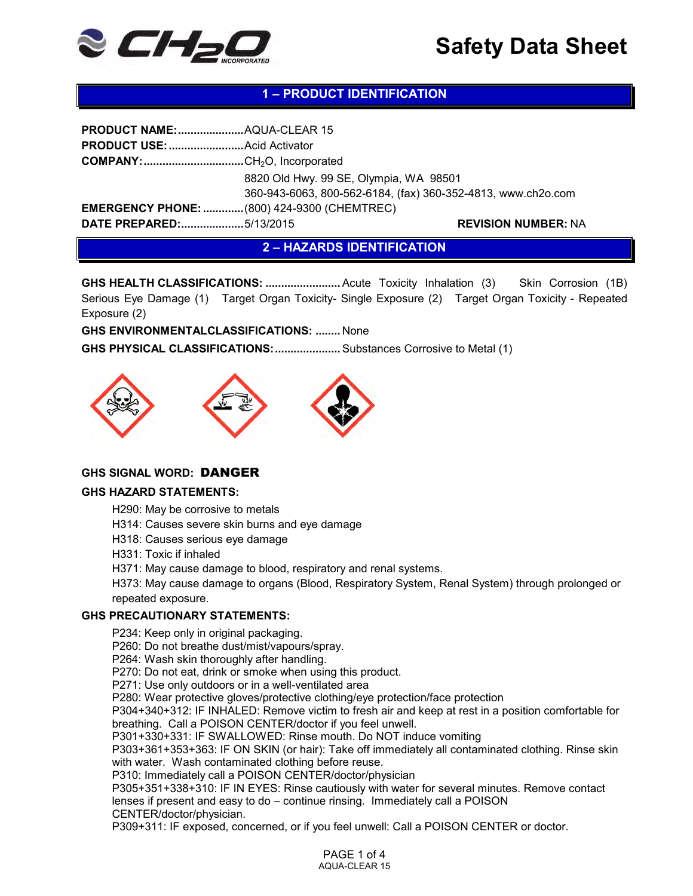

# **1 – PRODUCT IDENTIFICATION**

| PRODUCT NAME: AQUA-CLEAR 15                        |                                                                                                        |                            |  |
|----------------------------------------------------|--------------------------------------------------------------------------------------------------------|----------------------------|--|
|                                                    |                                                                                                        |                            |  |
| <b>COMPANY:</b> CH <sub>2</sub> O, Incorporated    |                                                                                                        |                            |  |
|                                                    | 8820 Old Hwy. 99 SE, Olympia, WA 98501<br>360-943-6063, 800-562-6184, (fax) 360-352-4813, www.ch2o.com |                            |  |
| <b>EMERGENCY PHONE:  (800) 424-9300 (CHEMTREC)</b> |                                                                                                        |                            |  |
| DATE PREPARED:5/13/2015                            |                                                                                                        | <b>REVISION NUMBER: NA</b> |  |

**2 – HAZARDS IDENTIFICATION**

**GHS HEALTH CLASSIFICATIONS: ..............................Acute Toxicity Inhalation (3)** Skin Corrosion (1B) Serious Eye Damage (1) Target Organ Toxicity- Single Exposure (2) Target Organ Toxicity - Repeated Exposure (2)

**GHS ENVIRONMENTALCLASSIFICATIONS: ........** None

**GHS PHYSICAL CLASSIFICATIONS: .....................**Substances Corrosive to Metal (1)



# **GHS SIGNAL WORD:** DANGER

#### **GHS HAZARD STATEMENTS:**

H290: May be corrosive to metals

H314: Causes severe skin burns and eye damage

H318: Causes serious eye damage

H331: Toxic if inhaled

H371: May cause damage to blood, respiratory and renal systems.

H373: May cause damage to organs (Blood, Respiratory System, Renal System) through prolonged or repeated exposure.

#### **GHS PRECAUTIONARY STATEMENTS:**

P234: Keep only in original packaging.

P260: Do not breathe dust/mist/vapours/spray.

P264: Wash skin thoroughly after handling.

P270: Do not eat, drink or smoke when using this product.

P271: Use only outdoors or in a well-ventilated area

P280: Wear protective gloves/protective clothing/eye protection/face protection

P304+340+312: IF INHALED: Remove victim to fresh air and keep at rest in a position comfortable for breathing. Call a POISON CENTER/doctor if you feel unwell.

P301+330+331: IF SWALLOWED: Rinse mouth. Do NOT induce vomiting

P303+361+353+363: IF ON SKIN (or hair): Take off immediately all contaminated clothing. Rinse skin with water. Wash contaminated clothing before reuse.

P310: Immediately call a POISON CENTER/doctor/physician

P305+351+338+310: IF IN EYES: Rinse cautiously with water for several minutes. Remove contact lenses if present and easy to do – continue rinsing. Immediately call a POISON CENTER/doctor/physician.

P309+311: IF exposed, concerned, or if you feel unwell: Call a POISON CENTER or doctor.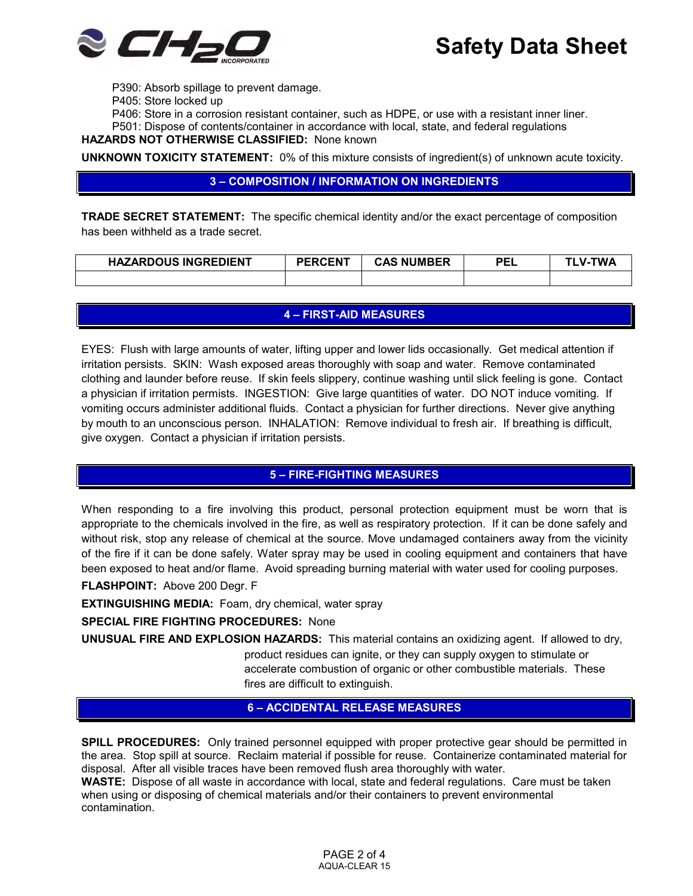

P390: Absorb spillage to prevent damage.

P405: Store locked up

P406: Store in a corrosion resistant container, such as HDPE, or use with a resistant inner liner.

P501: Dispose of contents/container in accordance with local, state, and federal regulations

**HAZARDS NOT OTHERWISE CLASSIFIED:** None known

**UNKNOWN TOXICITY STATEMENT:** 0% of this mixture consists of ingredient(s) of unknown acute toxicity.

## **3 – COMPOSITION / INFORMATION ON INGREDIENTS**

**TRADE SECRET STATEMENT:** The specific chemical identity and/or the exact percentage of composition has been withheld as a trade secret.

| <b>HAZARDOUS INGREDIENT</b> | <b>PERCENT</b> | <b>CAS NUMBER</b> | PEL | "WA<br>$\mathbf{v}$ - |
|-----------------------------|----------------|-------------------|-----|-----------------------|
|                             |                |                   |     |                       |

## **4 – FIRST-AID MEASURES**

EYES: Flush with large amounts of water, lifting upper and lower lids occasionally. Get medical attention if irritation persists. SKIN: Wash exposed areas thoroughly with soap and water. Remove contaminated clothing and launder before reuse. If skin feels slippery, continue washing until slick feeling is gone. Contact a physician if irritation permists. INGESTION: Give large quantities of water. DO NOT induce vomiting. If vomiting occurs administer additional fluids. Contact a physician for further directions. Never give anything by mouth to an unconscious person. INHALATION: Remove individual to fresh air. If breathing is difficult, give oxygen. Contact a physician if irritation persists.

## **5 – FIRE-FIGHTING MEASURES**

When responding to a fire involving this product, personal protection equipment must be worn that is appropriate to the chemicals involved in the fire, as well as respiratory protection. If it can be done safely and without risk, stop any release of chemical at the source. Move undamaged containers away from the vicinity of the fire if it can be done safely. Water spray may be used in cooling equipment and containers that have been exposed to heat and/or flame. Avoid spreading burning material with water used for cooling purposes.

**FLASHPOINT:** Above 200 Degr. F

**EXTINGUISHING MEDIA:** Foam, dry chemical, water spray

## **SPECIAL FIRE FIGHTING PROCEDURES:** None

**UNUSUAL FIRE AND EXPLOSION HAZARDS:** This material contains an oxidizing agent. If allowed to dry, product residues can ignite, or they can supply oxygen to stimulate or accelerate combustion of organic or other combustible materials. These fires are difficult to extinguish.

## **6 – ACCIDENTAL RELEASE MEASURES**

**SPILL PROCEDURES:** Only trained personnel equipped with proper protective gear should be permitted in the area. Stop spill at source. Reclaim material if possible for reuse. Containerize contaminated material for disposal. After all visible traces have been removed flush area thoroughly with water.

**WASTE:** Dispose of all waste in accordance with local, state and federal regulations. Care must be taken when using or disposing of chemical materials and/or their containers to prevent environmental contamination.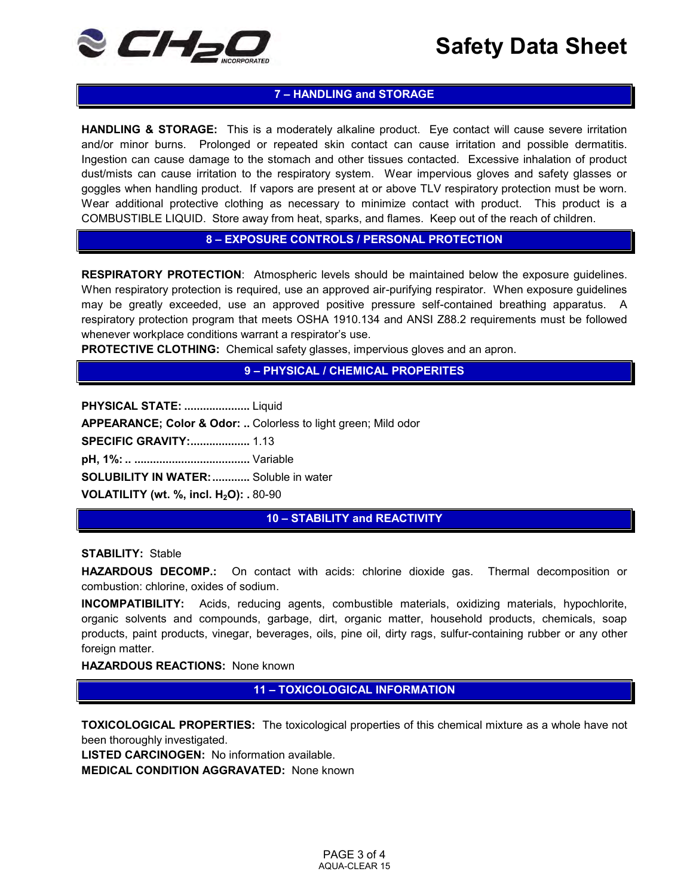

# **7 – HANDLING and STORAGE**

**HANDLING & STORAGE:** This is a moderately alkaline product. Eye contact will cause severe irritation and/or minor burns. Prolonged or repeated skin contact can cause irritation and possible dermatitis. Ingestion can cause damage to the stomach and other tissues contacted. Excessive inhalation of product dust/mists can cause irritation to the respiratory system. Wear impervious gloves and safety glasses or goggles when handling product. If vapors are present at or above TLV respiratory protection must be worn. Wear additional protective clothing as necessary to minimize contact with product. This product is a COMBUSTIBLE LIQUID. Store away from heat, sparks, and flames. Keep out of the reach of children.

## **8 – EXPOSURE CONTROLS / PERSONAL PROTECTION**

**RESPIRATORY PROTECTION**: Atmospheric levels should be maintained below the exposure guidelines. When respiratory protection is required, use an approved air-purifying respirator. When exposure guidelines may be greatly exceeded, use an approved positive pressure self-contained breathing apparatus. A respiratory protection program that meets OSHA 1910.134 and ANSI Z88.2 requirements must be followed whenever workplace conditions warrant a respirator's use.

**PROTECTIVE CLOTHING:** Chemical safety glasses, impervious gloves and an apron.

**9 – PHYSICAL / CHEMICAL PROPERITES**

**PHYSICAL STATE: .....................** Liquid

**APPEARANCE; Color & Odor: ..** Colorless to light green; Mild odor

**SPECIFIC GRAVITY: ...................** 1.13

**pH, 1%: .. .....................................** Variable

**SOLUBILITY IN WATER: ............** Soluble in water

**VOLATILITY (wt. %, incl. H2O): .** 80-90

**10 – STABILITY and REACTIVITY**

#### **STABILITY:** Stable

**HAZARDOUS DECOMP.:** On contact with acids: chlorine dioxide gas. Thermal decomposition or combustion: chlorine, oxides of sodium.

**INCOMPATIBILITY:** Acids, reducing agents, combustible materials, oxidizing materials, hypochlorite, organic solvents and compounds, garbage, dirt, organic matter, household products, chemicals, soap products, paint products, vinegar, beverages, oils, pine oil, dirty rags, sulfur-containing rubber or any other foreign matter.

#### **HAZARDOUS REACTIONS:** None known

**11 – TOXICOLOGICAL INFORMATION**

**TOXICOLOGICAL PROPERTIES:** The toxicological properties of this chemical mixture as a whole have not been thoroughly investigated.

**LISTED CARCINOGEN:** No information available.

**MEDICAL CONDITION AGGRAVATED:** None known